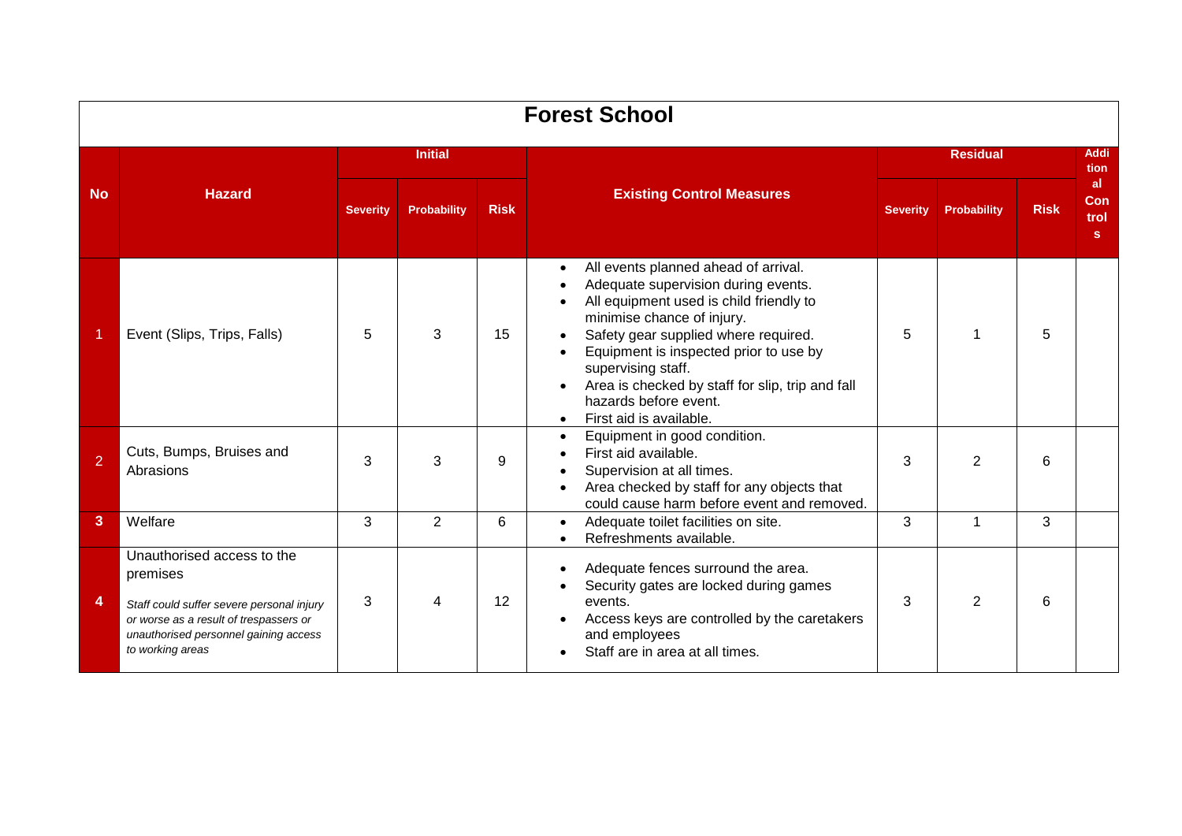|                | <b>Forest School</b>                                                                                                                                                                       |                 |                    |             |                                                                                                                                                                                                                                                                                                                                                                                   |                 |                    |              |                                 |  |  |  |  |  |  |
|----------------|--------------------------------------------------------------------------------------------------------------------------------------------------------------------------------------------|-----------------|--------------------|-------------|-----------------------------------------------------------------------------------------------------------------------------------------------------------------------------------------------------------------------------------------------------------------------------------------------------------------------------------------------------------------------------------|-----------------|--------------------|--------------|---------------------------------|--|--|--|--|--|--|
|                |                                                                                                                                                                                            |                 | <b>Initial</b>     |             |                                                                                                                                                                                                                                                                                                                                                                                   |                 |                    | Addi<br>tion |                                 |  |  |  |  |  |  |
| <b>No</b>      | <b>Hazard</b>                                                                                                                                                                              | <b>Severity</b> | <b>Probability</b> | <b>Risk</b> | <b>Existing Control Measures</b>                                                                                                                                                                                                                                                                                                                                                  | <b>Severity</b> | <b>Probability</b> | <b>Risk</b>  | al.<br><b>Con</b><br>trol<br>s. |  |  |  |  |  |  |
|                | Event (Slips, Trips, Falls)                                                                                                                                                                | 5               | 3                  | 15          | All events planned ahead of arrival.<br>Adequate supervision during events.<br>All equipment used is child friendly to<br>minimise chance of injury.<br>Safety gear supplied where required.<br>Equipment is inspected prior to use by<br>supervising staff.<br>Area is checked by staff for slip, trip and fall<br>hazards before event.<br>First aid is available.<br>$\bullet$ | 5               | 1                  | 5            |                                 |  |  |  |  |  |  |
| $\overline{2}$ | Cuts, Bumps, Bruises and<br>Abrasions                                                                                                                                                      | 3               | 3                  | 9           | Equipment in good condition.<br>$\bullet$<br>First aid available.<br>Supervision at all times.<br>Area checked by staff for any objects that<br>could cause harm before event and removed.                                                                                                                                                                                        | 3               | 2                  | 6            |                                 |  |  |  |  |  |  |
| 3              | Welfare                                                                                                                                                                                    | 3               | 2                  | 6           | Adequate toilet facilities on site.<br>$\bullet$<br>Refreshments available.<br>$\bullet$                                                                                                                                                                                                                                                                                          | 3               | $\mathbf 1$        | 3            |                                 |  |  |  |  |  |  |
| 4              | Unauthorised access to the<br>premises<br>Staff could suffer severe personal injury<br>or worse as a result of trespassers or<br>unauthorised personnel gaining access<br>to working areas | 3               | 4                  | 12          | Adequate fences surround the area.<br>Security gates are locked during games<br>events.<br>Access keys are controlled by the caretakers<br>and employees<br>Staff are in area at all times.                                                                                                                                                                                       | 3               | 2                  | 6            |                                 |  |  |  |  |  |  |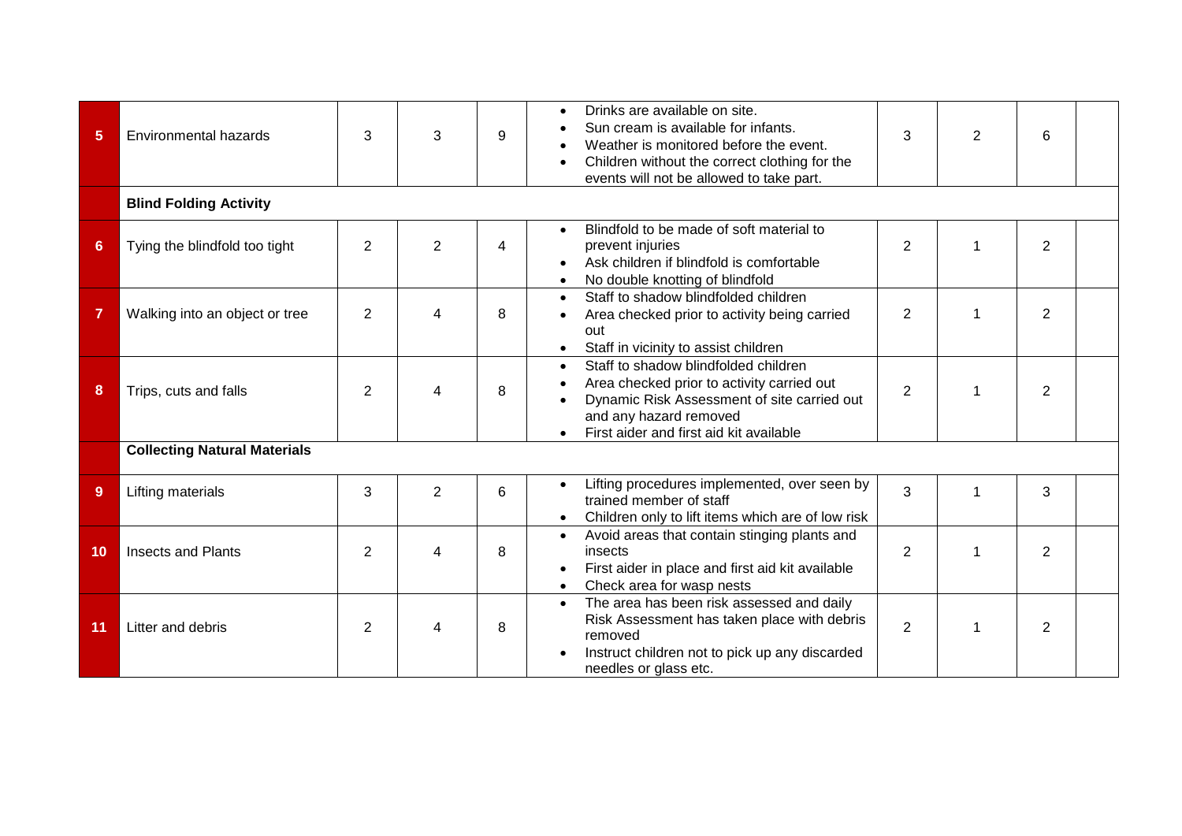| 5  | <b>Environmental hazards</b>        | 3              | 3              | 9 | Drinks are available on site.<br>Sun cream is available for infants.<br>Weather is monitored before the event.<br>Children without the correct clothing for the<br>events will not be allowed to take part.         | 3              | $\overline{2}$ | 6              |  |
|----|-------------------------------------|----------------|----------------|---|---------------------------------------------------------------------------------------------------------------------------------------------------------------------------------------------------------------------|----------------|----------------|----------------|--|
|    | <b>Blind Folding Activity</b>       |                |                |   |                                                                                                                                                                                                                     |                |                |                |  |
| 6  | Tying the blindfold too tight       | $\overline{2}$ | $\overline{2}$ | 4 | Blindfold to be made of soft material to<br>$\bullet$<br>prevent injuries<br>Ask children if blindfold is comfortable<br>No double knotting of blindfold                                                            | $\overline{2}$ |                | $\overline{2}$ |  |
| 7  | Walking into an object or tree      | $\overline{2}$ | 4              | 8 | Staff to shadow blindfolded children<br>$\bullet$<br>Area checked prior to activity being carried<br>out<br>Staff in vicinity to assist children<br>$\bullet$                                                       | $\overline{2}$ | 1              | $\overline{2}$ |  |
| 8  | Trips, cuts and falls               | $\overline{2}$ | 4              | 8 | Staff to shadow blindfolded children<br>$\bullet$<br>Area checked prior to activity carried out<br>Dynamic Risk Assessment of site carried out<br>and any hazard removed<br>First aider and first aid kit available | $\overline{2}$ |                | $\overline{2}$ |  |
|    | <b>Collecting Natural Materials</b> |                |                |   |                                                                                                                                                                                                                     |                |                |                |  |
| 9  | Lifting materials                   | 3              | $\overline{2}$ | 6 | Lifting procedures implemented, over seen by<br>trained member of staff<br>Children only to lift items which are of low risk                                                                                        | 3              | 1              | 3              |  |
| 10 | <b>Insects and Plants</b>           | 2              | 4              | 8 | Avoid areas that contain stinging plants and<br>$\bullet$<br>insects<br>First aider in place and first aid kit available<br>Check area for wasp nests                                                               | 2              | 1              | $\overline{2}$ |  |
| 11 | Litter and debris                   | 2              | 4              | 8 | The area has been risk assessed and daily<br>$\bullet$<br>Risk Assessment has taken place with debris<br>removed<br>Instruct children not to pick up any discarded<br>needles or glass etc.                         | $\overline{2}$ |                | $\overline{2}$ |  |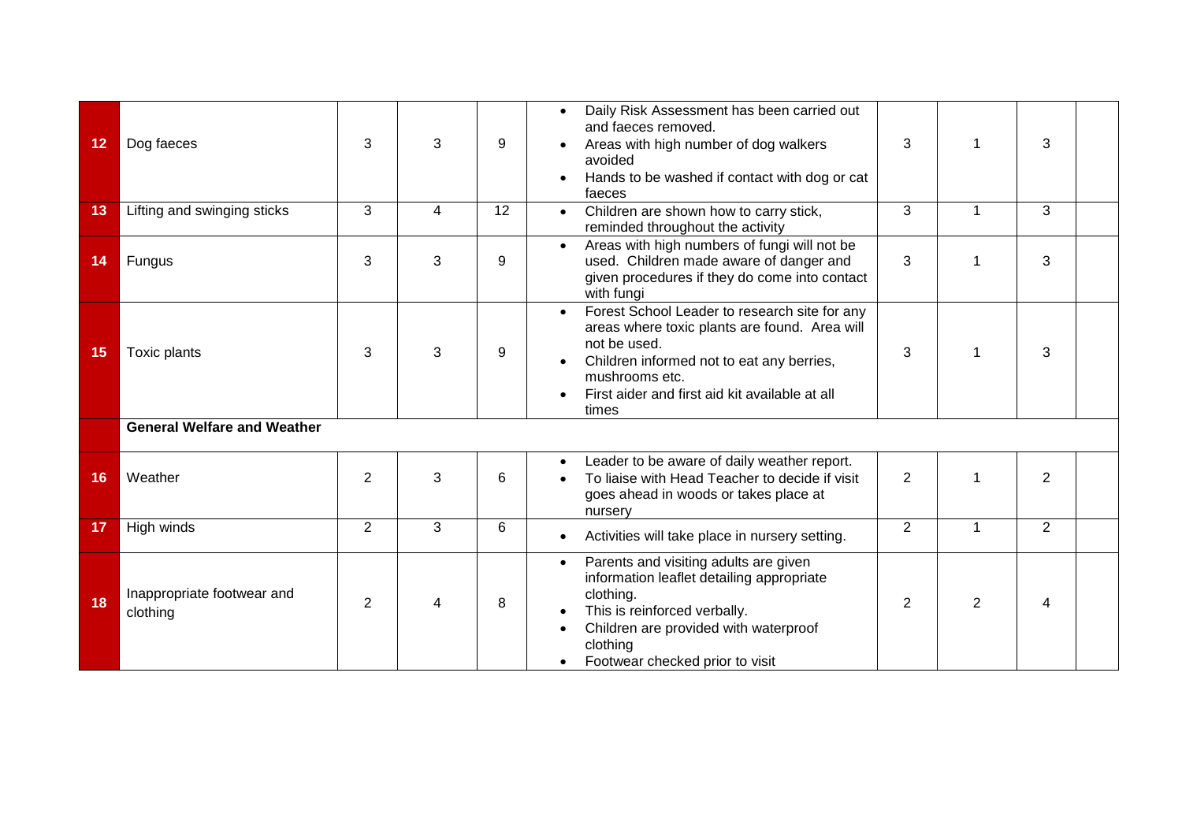| 12 | Dog faeces                             | 3              | 3                        | 9  | Daily Risk Assessment has been carried out<br>$\bullet$<br>and faeces removed.<br>Areas with high number of dog walkers<br>avoided<br>Hands to be washed if contact with dog or cat<br>faeces                                                         | 3              |    | 3                       |  |
|----|----------------------------------------|----------------|--------------------------|----|-------------------------------------------------------------------------------------------------------------------------------------------------------------------------------------------------------------------------------------------------------|----------------|----|-------------------------|--|
| 13 | Lifting and swinging sticks            | 3              | 4                        | 12 | Children are shown how to carry stick,<br>$\bullet$<br>reminded throughout the activity                                                                                                                                                               | 3              | 1  | 3                       |  |
| 14 | Fungus                                 | 3              | 3                        | 9  | Areas with high numbers of fungi will not be<br>used. Children made aware of danger and<br>given procedures if they do come into contact<br>with fungi                                                                                                | 3              |    | 3                       |  |
| 15 | Toxic plants                           | 3              | 3                        | 9  | Forest School Leader to research site for any<br>$\bullet$<br>areas where toxic plants are found. Area will<br>not be used.<br>Children informed not to eat any berries,<br>mushrooms etc.<br>First aider and first aid kit available at all<br>times | 3              |    | 3                       |  |
|    | <b>General Welfare and Weather</b>     |                |                          |    |                                                                                                                                                                                                                                                       |                |    |                         |  |
| 16 | Weather                                | $\overline{2}$ | 3                        | 6  | Leader to be aware of daily weather report.<br>To liaise with Head Teacher to decide if visit<br>goes ahead in woods or takes place at<br>nursery                                                                                                     | $\overline{2}$ | -1 | $\overline{2}$          |  |
| 17 | High winds                             | $\overline{2}$ | 3                        | 6  | Activities will take place in nursery setting.                                                                                                                                                                                                        | $\overline{2}$ | 1  | 2                       |  |
| 18 | Inappropriate footwear and<br>clothing | $\overline{2}$ | $\overline{\mathcal{A}}$ | 8  | Parents and visiting adults are given<br>$\bullet$<br>information leaflet detailing appropriate<br>clothing.<br>This is reinforced verbally.<br>Children are provided with waterproof<br>clothing<br>Footwear checked prior to visit                  | $\overline{2}$ | 2  | $\overline{\mathbf{4}}$ |  |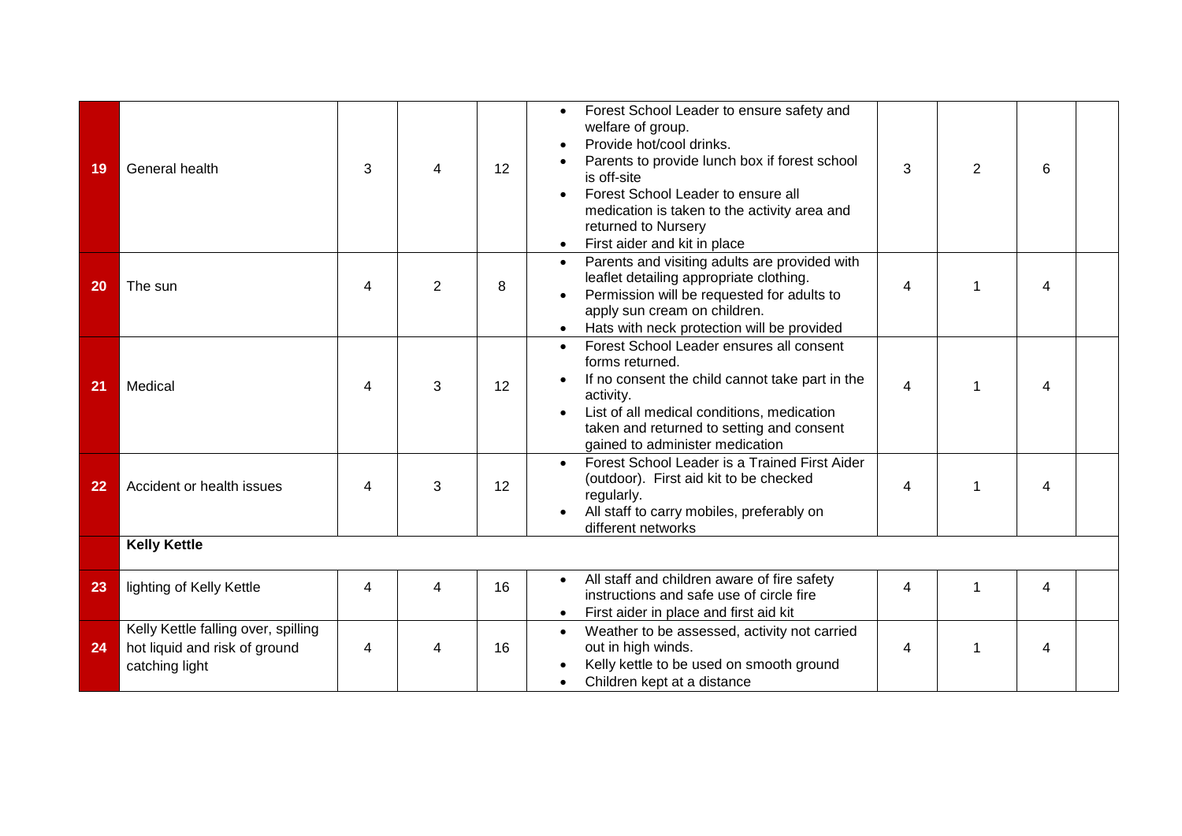| 19 | General health                                                                         | 3 | 4              | 12 | Forest School Leader to ensure safety and<br>$\bullet$<br>welfare of group.<br>Provide hot/cool drinks.<br>Parents to provide lunch box if forest school<br>is off-site<br>Forest School Leader to ensure all<br>medication is taken to the activity area and<br>returned to Nursery<br>First aider and kit in place<br>$\bullet$ | 3                       | $\overline{2}$ | 6              |  |
|----|----------------------------------------------------------------------------------------|---|----------------|----|-----------------------------------------------------------------------------------------------------------------------------------------------------------------------------------------------------------------------------------------------------------------------------------------------------------------------------------|-------------------------|----------------|----------------|--|
| 20 | The sun                                                                                | 4 | $\overline{2}$ | 8  | Parents and visiting adults are provided with<br>$\bullet$<br>leaflet detailing appropriate clothing.<br>Permission will be requested for adults to<br>$\bullet$<br>apply sun cream on children.<br>Hats with neck protection will be provided                                                                                    | $\overline{\mathbf{4}}$ |                | 4              |  |
| 21 | Medical                                                                                | 4 | 3              | 12 | Forest School Leader ensures all consent<br>$\bullet$<br>forms returned.<br>If no consent the child cannot take part in the<br>activity.<br>List of all medical conditions, medication<br>taken and returned to setting and consent<br>gained to administer medication                                                            | $\overline{\mathbf{4}}$ |                | 4              |  |
| 22 | Accident or health issues                                                              | 4 | 3              | 12 | Forest School Leader is a Trained First Aider<br>$\bullet$<br>(outdoor). First aid kit to be checked<br>regularly.<br>All staff to carry mobiles, preferably on<br>different networks                                                                                                                                             | 4                       |                | 4              |  |
|    | <b>Kelly Kettle</b>                                                                    |   |                |    |                                                                                                                                                                                                                                                                                                                                   |                         |                |                |  |
| 23 | lighting of Kelly Kettle                                                               | 4 | 4              | 16 | All staff and children aware of fire safety<br>$\bullet$<br>instructions and safe use of circle fire<br>First aider in place and first aid kit                                                                                                                                                                                    | $\overline{4}$          | 1              | $\overline{4}$ |  |
| 24 | Kelly Kettle falling over, spilling<br>hot liquid and risk of ground<br>catching light | 4 | 4              | 16 | Weather to be assessed, activity not carried<br>$\bullet$<br>out in high winds.<br>Kelly kettle to be used on smooth ground<br>Children kept at a distance                                                                                                                                                                        | 4                       |                | 4              |  |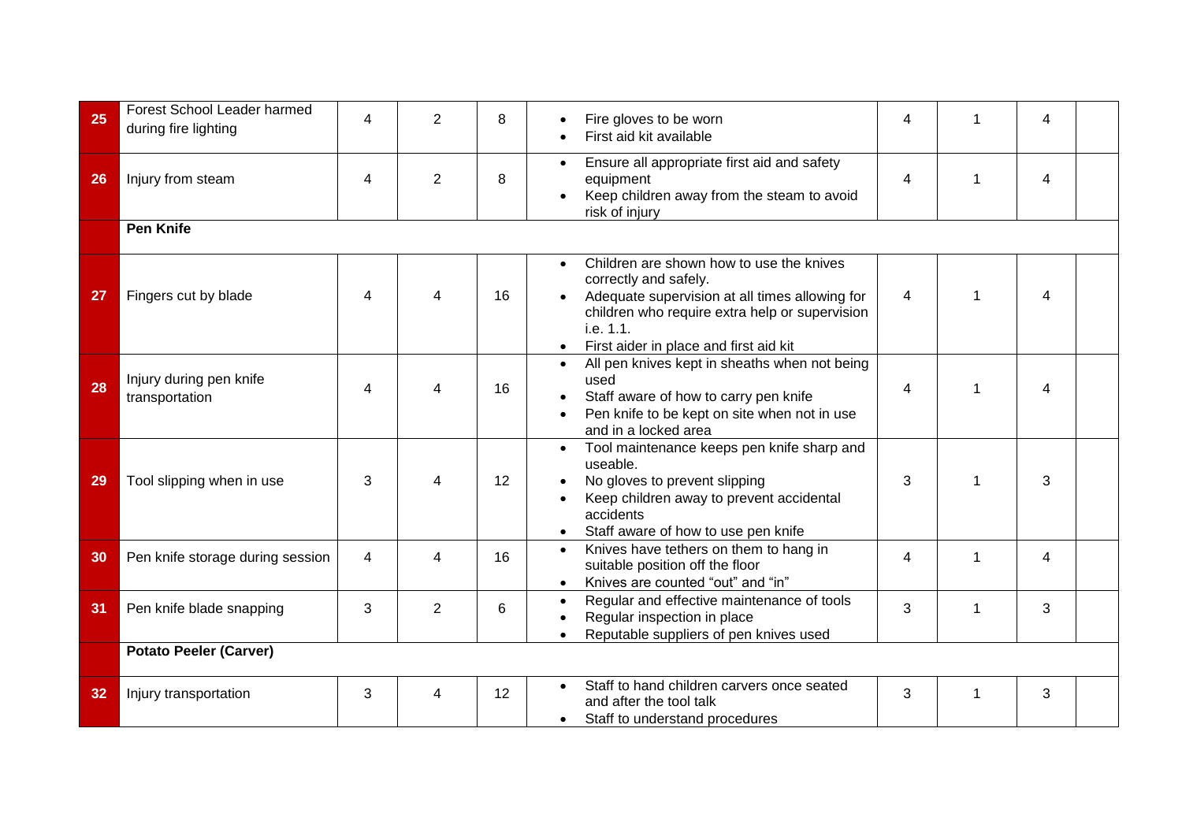| 25 | Forest School Leader harmed<br>during fire lighting | 4              | 2              | 8  | Fire gloves to be worn<br>First aid kit available                                                                                                                                                                                                      | 4              | 4 |  |
|----|-----------------------------------------------------|----------------|----------------|----|--------------------------------------------------------------------------------------------------------------------------------------------------------------------------------------------------------------------------------------------------------|----------------|---|--|
| 26 | Injury from steam                                   | $\overline{4}$ | $\overline{2}$ | 8  | Ensure all appropriate first aid and safety<br>$\bullet$<br>equipment<br>Keep children away from the steam to avoid<br>risk of injury                                                                                                                  | $\overline{4}$ | 4 |  |
|    | <b>Pen Knife</b>                                    |                |                |    |                                                                                                                                                                                                                                                        |                |   |  |
| 27 | Fingers cut by blade                                | $\overline{4}$ | 4              | 16 | Children are shown how to use the knives<br>$\bullet$<br>correctly and safely.<br>Adequate supervision at all times allowing for<br>children who require extra help or supervision<br>i.e. 1.1.<br>First aider in place and first aid kit<br>$\bullet$ | 4              | 4 |  |
| 28 | Injury during pen knife<br>transportation           | 4              | Δ              | 16 | All pen knives kept in sheaths when not being<br>$\bullet$<br>used<br>Staff aware of how to carry pen knife<br>Pen knife to be kept on site when not in use<br>and in a locked area                                                                    | 4              | 4 |  |
| 29 | Tool slipping when in use                           | 3              | 4              | 12 | Tool maintenance keeps pen knife sharp and<br>$\bullet$<br>useable.<br>No gloves to prevent slipping<br>Keep children away to prevent accidental<br>accidents<br>Staff aware of how to use pen knife<br>$\bullet$                                      | 3              | 3 |  |
| 30 | Pen knife storage during session                    | $\overline{4}$ | 4              | 16 | Knives have tethers on them to hang in<br>$\bullet$<br>suitable position off the floor<br>Knives are counted "out" and "in"<br>$\bullet$                                                                                                               | 4              | 4 |  |
| 31 | Pen knife blade snapping                            | 3              | $\overline{2}$ | 6  | Regular and effective maintenance of tools<br>$\bullet$<br>Regular inspection in place<br>Reputable suppliers of pen knives used                                                                                                                       | 3              | 3 |  |
|    | <b>Potato Peeler (Carver)</b>                       |                |                |    |                                                                                                                                                                                                                                                        |                |   |  |
| 32 | Injury transportation                               | 3              | 4              | 12 | Staff to hand children carvers once seated<br>and after the tool talk<br>Staff to understand procedures                                                                                                                                                | 3              | 3 |  |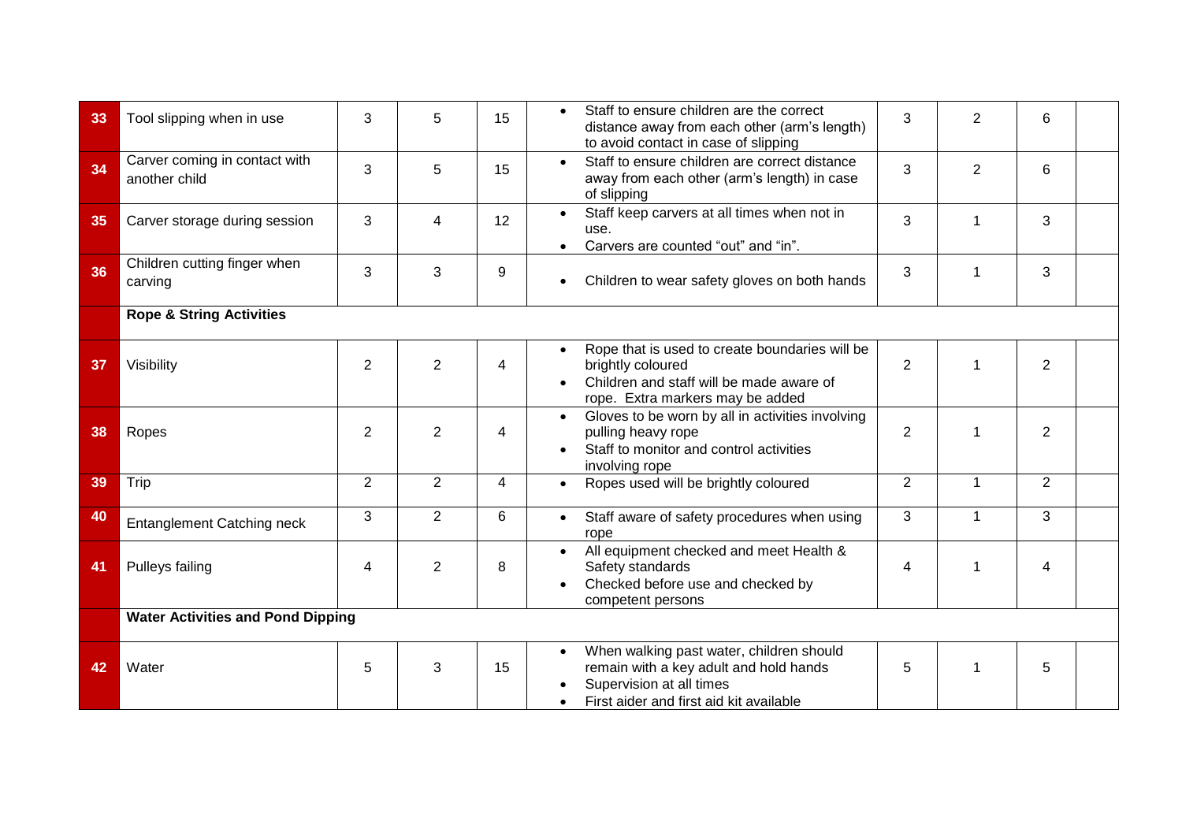| 33 | Tool slipping when in use                      | 3              | 5              | 15 | Staff to ensure children are the correct<br>3<br>$\overline{2}$<br>6<br>distance away from each other (arm's length)<br>to avoid contact in case of slipping                                         |
|----|------------------------------------------------|----------------|----------------|----|------------------------------------------------------------------------------------------------------------------------------------------------------------------------------------------------------|
| 34 | Carver coming in contact with<br>another child | 3              | 5              | 15 | Staff to ensure children are correct distance<br>$\bullet$<br>3<br>2<br>6<br>away from each other (arm's length) in case<br>of slipping                                                              |
| 35 | Carver storage during session                  | 3              | $\overline{4}$ | 12 | Staff keep carvers at all times when not in<br>$\bullet$<br>3<br>3<br>1<br>use.<br>Carvers are counted "out" and "in".                                                                               |
| 36 | Children cutting finger when<br>carving        | 3              | 3              | 9  | 3<br>3<br>1<br>Children to wear safety gloves on both hands                                                                                                                                          |
|    | <b>Rope &amp; String Activities</b>            |                |                |    |                                                                                                                                                                                                      |
| 37 | Visibility                                     | $\overline{2}$ | $\overline{2}$ | 4  | Rope that is used to create boundaries will be<br>$\bullet$<br>$\overline{2}$<br>$\overline{2}$<br>brightly coloured<br>Children and staff will be made aware of<br>rope. Extra markers may be added |
| 38 | Ropes                                          | 2              | 2              | 4  | Gloves to be worn by all in activities involving<br>$\bullet$<br>$\overline{2}$<br>2<br>pulling heavy rope<br>1<br>Staff to monitor and control activities<br>$\bullet$<br>involving rope            |
| 39 | Trip                                           | $\overline{2}$ | $\overline{2}$ | 4  | $\overline{2}$<br>$\overline{2}$<br>Ropes used will be brightly coloured<br>$\mathbf{1}$                                                                                                             |
| 40 | <b>Entanglement Catching neck</b>              | 3              | $\overline{2}$ | 6  | 3<br>3<br>$\mathbf{1}$<br>Staff aware of safety procedures when using<br>rope                                                                                                                        |
| 41 | Pulleys failing                                | 4              | $\overline{2}$ | 8  | All equipment checked and meet Health &<br>$\bullet$<br>Safety standards<br>$\overline{4}$<br>4<br>Checked before use and checked by<br>competent persons                                            |
|    | <b>Water Activities and Pond Dipping</b>       |                |                |    |                                                                                                                                                                                                      |
| 42 | Water                                          | 5              | 3              | 15 | When walking past water, children should<br>remain with a key adult and hold hands<br>5<br>5<br>1<br>Supervision at all times<br>First aider and first aid kit available                             |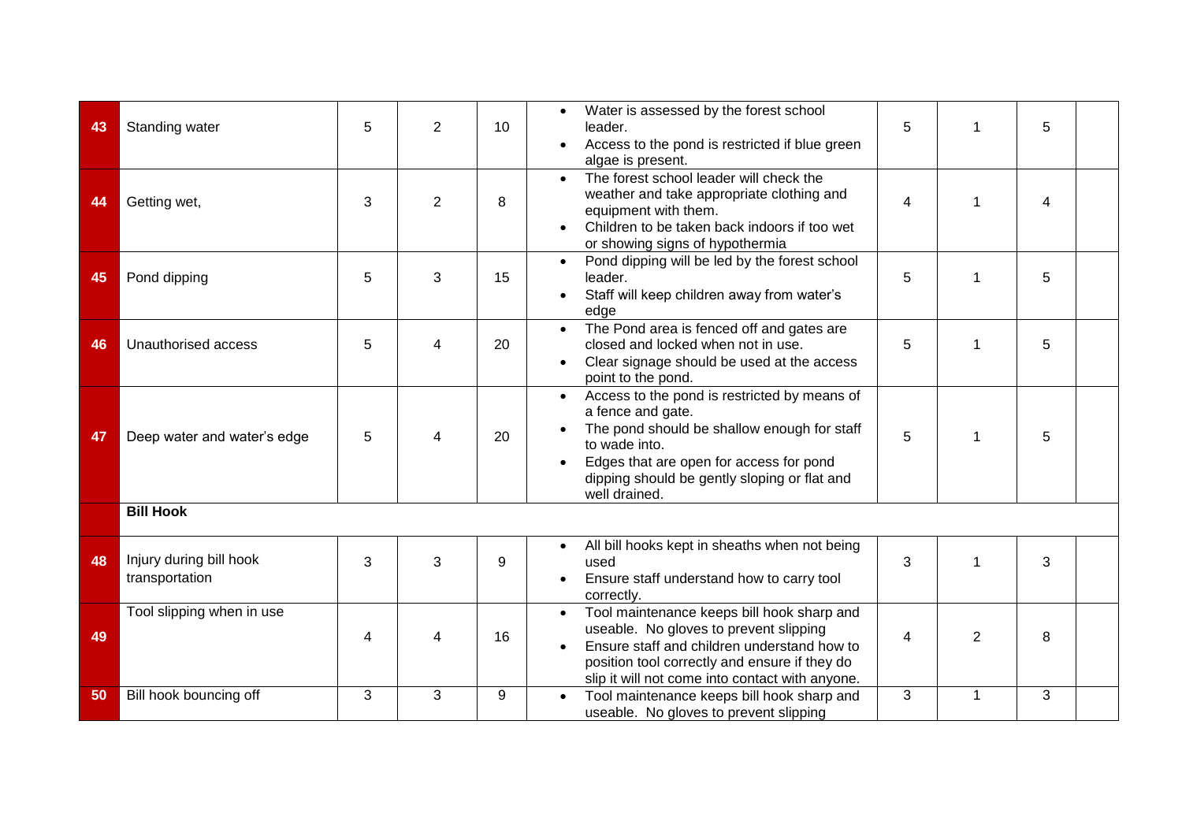| 43 | Standing water                            | 5 | $\overline{2}$           | 10 | Water is assessed by the forest school<br>leader.<br>Access to the pond is restricted if blue green<br>algae is present.                                                                                                                                   | 5              |                | 5 |  |
|----|-------------------------------------------|---|--------------------------|----|------------------------------------------------------------------------------------------------------------------------------------------------------------------------------------------------------------------------------------------------------------|----------------|----------------|---|--|
| 44 | Getting wet,                              | 3 | $\overline{2}$           | 8  | The forest school leader will check the<br>$\bullet$<br>weather and take appropriate clothing and<br>equipment with them.<br>Children to be taken back indoors if too wet<br>or showing signs of hypothermia                                               | 4              |                | 4 |  |
| 45 | Pond dipping                              | 5 | 3                        | 15 | Pond dipping will be led by the forest school<br>$\bullet$<br>leader.<br>Staff will keep children away from water's<br>edge                                                                                                                                | 5              | 1              | 5 |  |
| 46 | Unauthorised access                       | 5 | 4                        | 20 | The Pond area is fenced off and gates are<br>$\bullet$<br>closed and locked when not in use.<br>Clear signage should be used at the access<br>point to the pond.                                                                                           | 5              | 1              | 5 |  |
| 47 | Deep water and water's edge               | 5 | $\overline{4}$           | 20 | Access to the pond is restricted by means of<br>$\bullet$<br>a fence and gate.<br>The pond should be shallow enough for staff<br>to wade into.<br>Edges that are open for access for pond<br>dipping should be gently sloping or flat and<br>well drained. | 5              | 1              | 5 |  |
|    | <b>Bill Hook</b>                          |   |                          |    |                                                                                                                                                                                                                                                            |                |                |   |  |
| 48 | Injury during bill hook<br>transportation | 3 | 3                        | 9  | All bill hooks kept in sheaths when not being<br>used<br>Ensure staff understand how to carry tool<br>correctly.                                                                                                                                           | 3              | 1              | 3 |  |
| 49 | Tool slipping when in use                 | 4 | $\overline{\mathcal{A}}$ | 16 | Tool maintenance keeps bill hook sharp and<br>$\bullet$<br>useable. No gloves to prevent slipping<br>Ensure staff and children understand how to<br>position tool correctly and ensure if they do<br>slip it will not come into contact with anyone.       | $\overline{4}$ | $\overline{2}$ | 8 |  |
| 50 | Bill hook bouncing off                    | 3 | 3                        | 9  | Tool maintenance keeps bill hook sharp and<br>useable. No gloves to prevent slipping                                                                                                                                                                       | 3              | $\mathbf 1$    | 3 |  |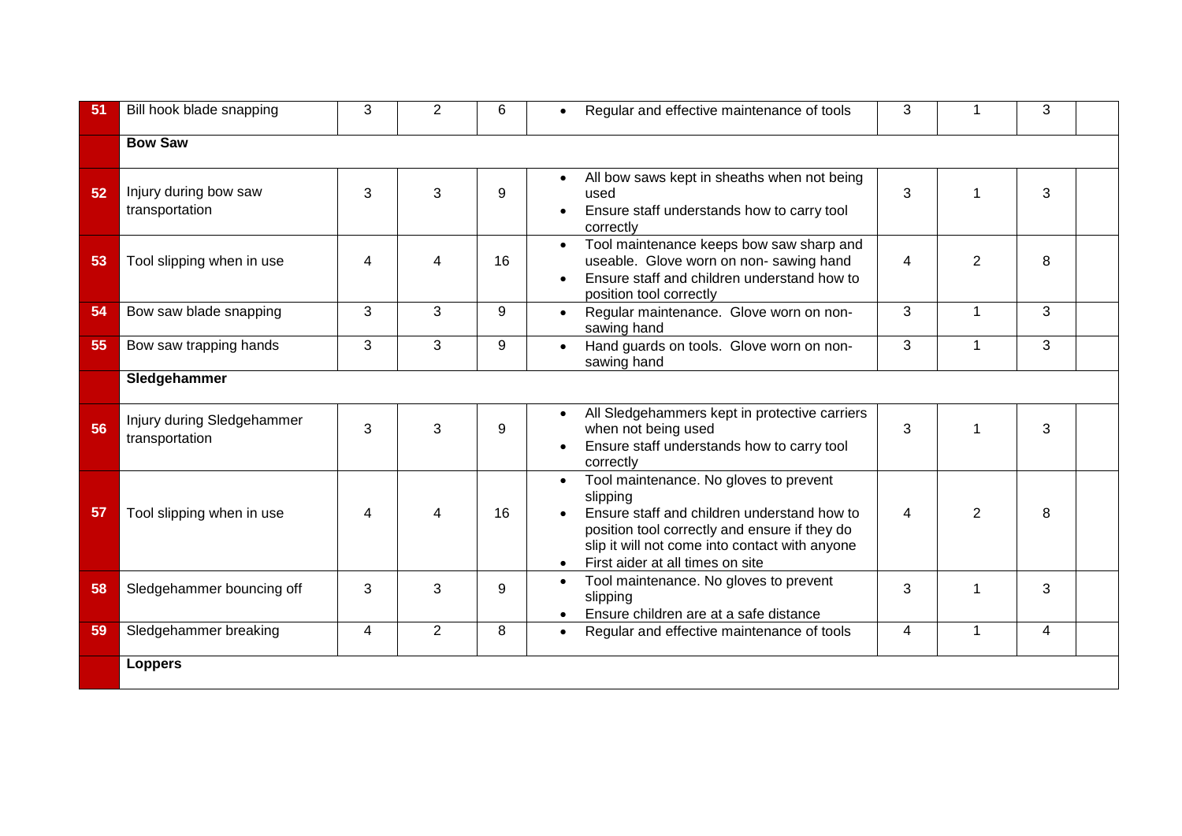| 51 | Bill hook blade snapping                     | 3 | 2 | 6  | 3<br>3<br>Regular and effective maintenance of tools<br>$\bullet$                                                                                                                                                                                                                              |
|----|----------------------------------------------|---|---|----|------------------------------------------------------------------------------------------------------------------------------------------------------------------------------------------------------------------------------------------------------------------------------------------------|
|    | <b>Bow Saw</b>                               |   |   |    |                                                                                                                                                                                                                                                                                                |
| 52 | Injury during bow saw<br>transportation      | 3 | 3 | 9  | All bow saws kept in sheaths when not being<br>$\bullet$<br>3<br>3<br>used<br>1<br>Ensure staff understands how to carry tool<br>correctly                                                                                                                                                     |
| 53 | Tool slipping when in use                    | 4 | 4 | 16 | Tool maintenance keeps bow saw sharp and<br>$\bullet$<br>$\overline{2}$<br>8<br>useable. Glove worn on non-sawing hand<br>4<br>Ensure staff and children understand how to<br>position tool correctly                                                                                          |
| 54 | Bow saw blade snapping                       | 3 | 3 | 9  | 3<br>Regular maintenance. Glove worn on non-<br>3<br>1<br>$\bullet$<br>sawing hand                                                                                                                                                                                                             |
| 55 | Bow saw trapping hands                       | 3 | 3 | 9  | 3<br>3<br>Hand guards on tools. Glove worn on non-<br>1<br>$\bullet$<br>sawing hand                                                                                                                                                                                                            |
|    | Sledgehammer                                 |   |   |    |                                                                                                                                                                                                                                                                                                |
| 56 | Injury during Sledgehammer<br>transportation | 3 | 3 | 9  | All Sledgehammers kept in protective carriers<br>$\bullet$<br>3<br>3<br>when not being used<br>1<br>Ensure staff understands how to carry tool<br>correctly                                                                                                                                    |
| 57 | Tool slipping when in use                    | 4 | 4 | 16 | Tool maintenance. No gloves to prevent<br>$\bullet$<br>slipping<br>Ensure staff and children understand how to<br>$\overline{2}$<br>4<br>8<br>position tool correctly and ensure if they do<br>slip it will not come into contact with anyone<br>First aider at all times on site<br>$\bullet$ |
| 58 | Sledgehammer bouncing off                    | 3 | 3 | 9  | Tool maintenance. No gloves to prevent<br>$\bullet$<br>3<br>3<br>1<br>slipping<br>Ensure children are at a safe distance                                                                                                                                                                       |
| 59 | Sledgehammer breaking                        | 4 | 2 | 8  | 4<br>1<br>4<br>Regular and effective maintenance of tools<br>$\bullet$                                                                                                                                                                                                                         |
|    | <b>Loppers</b>                               |   |   |    |                                                                                                                                                                                                                                                                                                |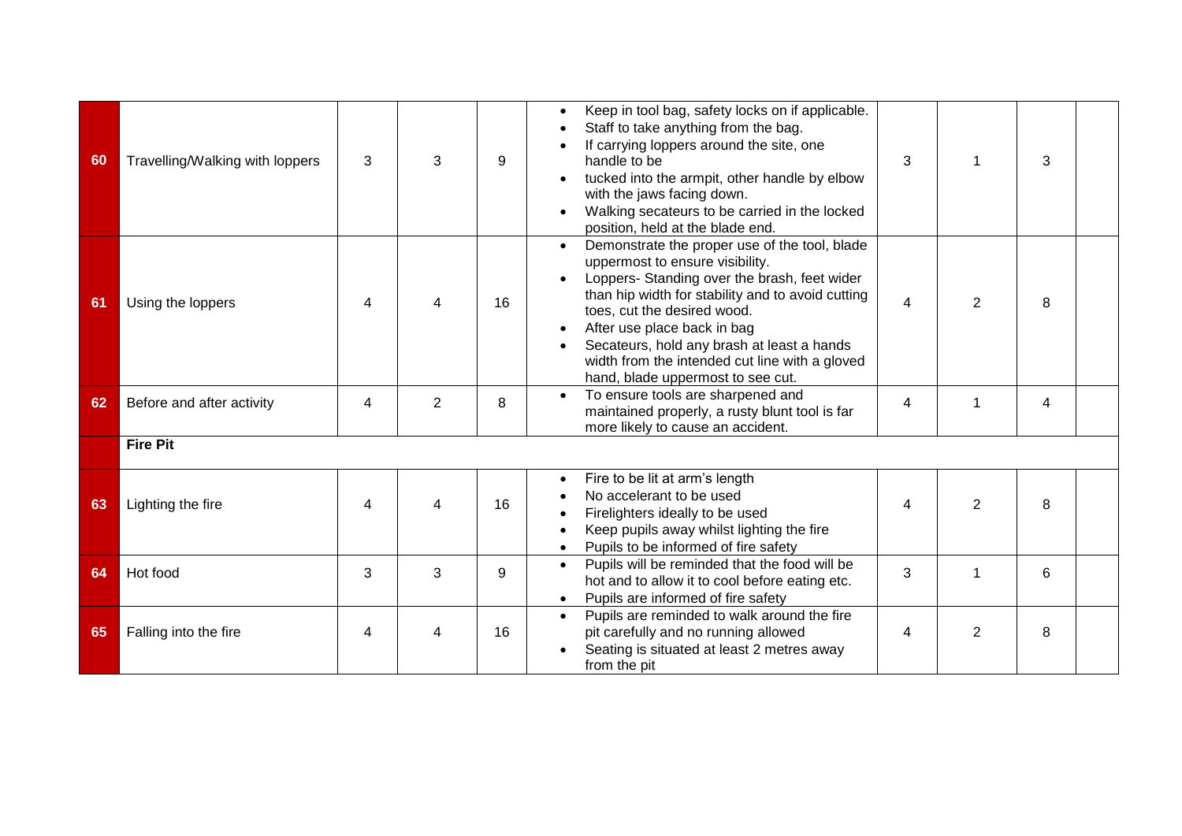| 60 | Travelling/Walking with loppers | 3 | 3                        | 9  | Keep in tool bag, safety locks on if applicable.<br>Staff to take anything from the bag.<br>If carrying loppers around the site, one<br>handle to be<br>tucked into the armpit, other handle by elbow<br>with the jaws facing down.<br>Walking secateurs to be carried in the locked<br>position, held at the blade end.                                                                                           | 3              | 1              | 3 |  |
|----|---------------------------------|---|--------------------------|----|--------------------------------------------------------------------------------------------------------------------------------------------------------------------------------------------------------------------------------------------------------------------------------------------------------------------------------------------------------------------------------------------------------------------|----------------|----------------|---|--|
| 61 | Using the loppers               | 4 | 4                        | 16 | Demonstrate the proper use of the tool, blade<br>$\bullet$<br>uppermost to ensure visibility.<br>Loppers- Standing over the brash, feet wider<br>$\bullet$<br>than hip width for stability and to avoid cutting<br>toes, cut the desired wood.<br>After use place back in bag<br>Secateurs, hold any brash at least a hands<br>width from the intended cut line with a gloved<br>hand, blade uppermost to see cut. | $\overline{4}$ | $\overline{2}$ | 8 |  |
| 62 | Before and after activity       | 4 | $\overline{2}$           | 8  | To ensure tools are sharpened and<br>$\bullet$<br>maintained properly, a rusty blunt tool is far<br>more likely to cause an accident.                                                                                                                                                                                                                                                                              | 4              | 1              | 4 |  |
|    | <b>Fire Pit</b>                 |   |                          |    |                                                                                                                                                                                                                                                                                                                                                                                                                    |                |                |   |  |
| 63 | Lighting the fire               | 4 | $\overline{\mathcal{A}}$ | 16 | Fire to be lit at arm's length<br>٠<br>No accelerant to be used<br>Firelighters ideally to be used<br>Keep pupils away whilst lighting the fire<br>Pupils to be informed of fire safety<br>$\bullet$                                                                                                                                                                                                               | 4              | $\overline{2}$ | 8 |  |
| 64 | Hot food                        | 3 | 3                        | 9  | Pupils will be reminded that the food will be<br>$\bullet$<br>hot and to allow it to cool before eating etc.<br>Pupils are informed of fire safety                                                                                                                                                                                                                                                                 | 3              | 1              | 6 |  |
| 65 | Falling into the fire           | 4 | 4                        | 16 | Pupils are reminded to walk around the fire<br>$\bullet$<br>pit carefully and no running allowed<br>Seating is situated at least 2 metres away<br>from the pit                                                                                                                                                                                                                                                     | 4              | 2              | 8 |  |